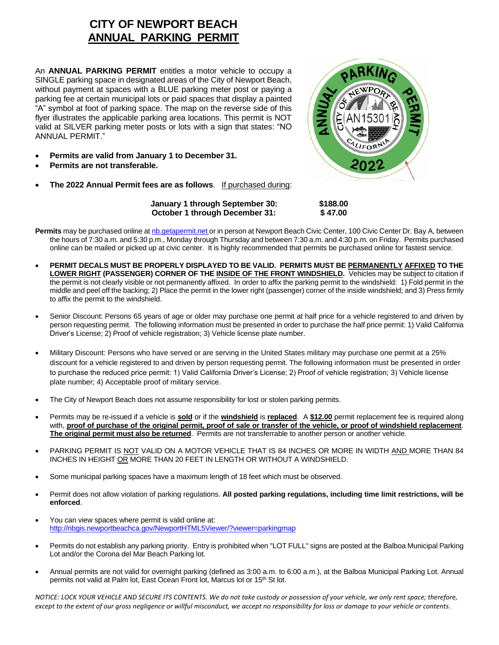## **CITY OF NEWPORT BEACH ANNUAL PARKING PERMIT**

An **ANNUAL PARKING PERMIT** entitles a motor vehicle to occupy a SINGLE parking space in designated areas of the City of Newport Beach, without payment at spaces with a BLUE parking meter post or paying a parking fee at certain municipal lots or paid spaces that display a painted "A" symbol at foot of parking space. The map on the reverse side of this flyer illustrates the applicable parking area locations. This permit is NOT valid at SILVER parking meter posts or lots with a sign that states: "NO ANNUAL PERMIT."

- **Permits are valid from January 1 to December 31.**
- **Permits are not transferable.**
- **The 2022 Annual Permit fees are as follows**. If purchased during:



**January 1 through September 30: \$188.00 October 1 through December 31: \$ 47.00**

- **Permits** may be purchased online at [nb.getapermit.net](http://www/bnewportbeachca.gov) or in person at Newport Beach Civic Center, 100 Civic Center Dr. Bay A, between the hours of 7:30 a.m. and 5:30 p.m., Monday through Thursday and between 7:30 a.m. and 4:30 p.m. on Friday. Permits purchased online can be mailed or picked up at civic center. It is highly recommended that permits be purchased online for fastest service.
- **PERMIT DECALS MUST BE PROPERLY DISPLAYED TO BE VALID. PERMITS MUST BE PERMANENTLY AFFIXED TO THE LOWER RIGHT (PASSENGER) CORNER OF THE INSIDE OF THE FRONT WINDSHIELD.** Vehicles may be subject to citation if the permit is not clearly visible or not permanently affixed. In order to affix the parking permit to the windshield: 1) Fold permit in the middle and peel off the backing; 2) Place the permit in the lower right (passenger) corner of the inside windshield; and 3) Press firmly to affix the permit to the windshield.
- Senior Discount: Persons 65 years of age or older may purchase one permit at half price for a vehicle registered to and driven by person requesting permit. The following information must be presented in order to purchase the half price permit: 1) Valid California Driver's License; 2) Proof of vehicle registration; 3) Vehicle license plate number.
- Military Discount: Persons who have served or are serving in the United States military may purchase one permit at a 25% discount for a vehicle registered to and driven by person requesting permit. The following information must be presented in order to purchase the reduced price permit: 1) Valid California Driver's License; 2) Proof of vehicle registration; 3) Vehicle license plate number; 4) Acceptable proof of military service.
- The City of Newport Beach does not assume responsibility for lost or stolen parking permits.
- Permits may be re-issued if a vehicle is **sold** or if the **windshield** is **replaced**. A **\$12.00** permit replacement fee is required along with, **proof of purchase of the original permit, proof of sale or transfer of the vehicle, or proof of windshield replacement**. **The original permit must also be returned**. Permits are not transferrable to another person or another vehicle.
- PARKING PERMIT IS NOT VALID ON A MOTOR VEHICLE THAT IS 84 INCHES OR MORE IN WIDTH AND MORE THAN 84 INCHES IN HEIGHT OR MORE THAN 20 FEET IN LENGTH OR WITHOUT A WINDSHIELD.
- Some municipal parking spaces have a maximum length of 18 feet which must be observed.
- Permit does not allow violation of parking regulations. **All posted parking regulations, including time limit restrictions, will be enforced**.
- You can view spaces where permit is valid online at: <http://nbgis.newportbeachca.gov/NewportHTML5Viewer/?viewer=parkingmap>
- Permits do not establish any parking priority. Entry is prohibited when "LOT FULL" signs are posted at the Balboa Municipal Parking Lot and/or the Corona del Mar Beach Parking lot.
- Annual permits are not valid for overnight parking (defined as 3:00 a.m. to 6:00 a.m.), at the Balboa Municipal Parking Lot. Annual permits not valid at Palm lot, East Ocean Front lot, Marcus lot or 15<sup>th</sup> St lot.

*NOTICE: LOCK YOUR VEHICLE AND SECURE ITS CONTENTS. We do not take custody or possession of your vehicle, we only rent space; therefore, except to the extent of our gross negligence or willful misconduct, we accept no responsibility for loss or damage to your vehicle or contents.*